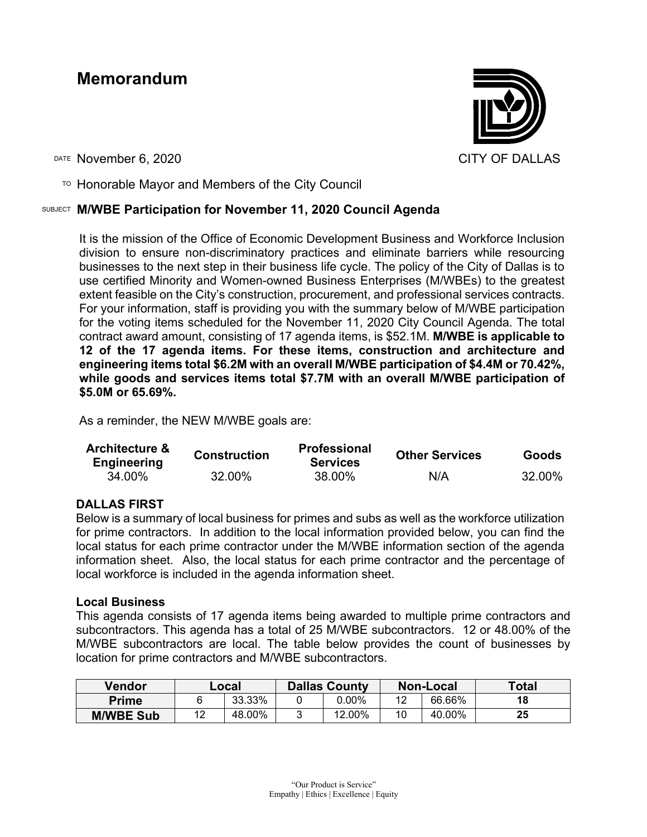# **Memorandum**



DATE November 6, 2020 CITY OF DALLAS

 $T$ <sup>O</sup> Honorable Mayor and Members of the City Council

## SUBJECT **M/WBE Participation for November 11, 2020 Council Agenda**

It is the mission of the Office of Economic Development Business and Workforce Inclusion division to ensure non-discriminatory practices and eliminate barriers while resourcing businesses to the next step in their business life cycle. The policy of the City of Dallas is to use certified Minority and Women-owned Business Enterprises (M/WBEs) to the greatest extent feasible on the City's construction, procurement, and professional services contracts. For your information, staff is providing you with the summary below of M/WBE participation for the voting items scheduled for the November 11, 2020 City Council Agenda. The total contract award amount, consisting of 17 agenda items, is \$52.1M. **M/WBE is applicable to 12 of the 17 agenda items. For these items, construction and architecture and engineering items total \$6.2M with an overall M/WBE participation of \$4.4M or 70.42%, while goods and services items total \$7.7M with an overall M/WBE participation of \$5.0M or 65.69%.**

As a reminder, the NEW M/WBE goals are:

| <b>Architecture &amp;</b><br><b>Engineering</b> | <b>Construction</b> | <b>Professional</b><br><b>Services</b> | <b>Other Services</b> | <b>Goods</b> |
|-------------------------------------------------|---------------------|----------------------------------------|-----------------------|--------------|
| 34.00%                                          | 32.00%              | 38.00%                                 | N/A                   | 32.00%       |

#### **DALLAS FIRST**

Below is a summary of local business for primes and subs as well as the workforce utilization for prime contractors. In addition to the local information provided below, you can find the local status for each prime contractor under the M/WBE information section of the agenda information sheet. Also, the local status for each prime contractor and the percentage of local workforce is included in the agenda information sheet.

#### **Local Business**

This agenda consists of 17 agenda items being awarded to multiple prime contractors and subcontractors. This agenda has a total of 25 M/WBE subcontractors. 12 or 48.00% of the M/WBE subcontractors are local. The table below provides the count of businesses by location for prime contractors and M/WBE subcontractors.

| Vendor           | ∟ocal   |        | <b>Dallas County</b> |          | <b>Non-Local</b> |        | Total |
|------------------|---------|--------|----------------------|----------|------------------|--------|-------|
| Prime            |         | 33.33% |                      | $0.00\%$ |                  | 66.66% | 18    |
| <b>M/WBE Sub</b> | 10<br>▵ | 48.00% |                      | 12.00%   |                  | 40.00% | 25    |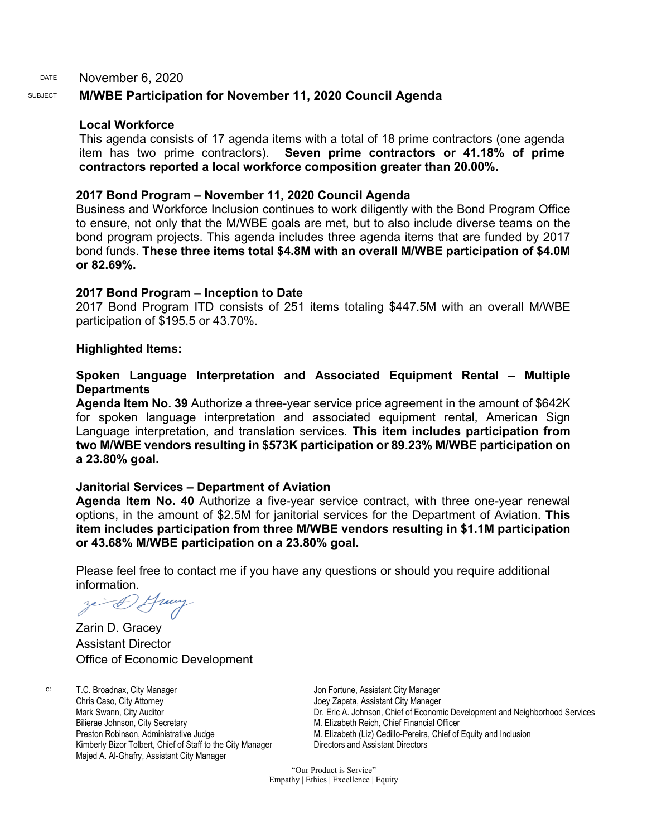DATE November 6, 2020

## SUBJECT **M/WBE Participation for November 11, 2020 Council Agenda**

#### **Local Workforce**

This agenda consists of 17 agenda items with a total of 18 prime contractors (one agenda item has two prime contractors). **Seven prime contractors or 41.18% of prime contractors reported a local workforce composition greater than 20.00%.** 

#### **2017 Bond Program – November 11, 2020 Council Agenda**

Business and Workforce Inclusion continues to work diligently with the Bond Program Office to ensure, not only that the M/WBE goals are met, but to also include diverse teams on the bond program projects. This agenda includes three agenda items that are funded by 2017 bond funds. **These three items total \$4.8M with an overall M/WBE participation of \$4.0M or 82.69%.**

#### **2017 Bond Program – Inception to Date**

2017 Bond Program ITD consists of 251 items totaling \$447.5M with an overall M/WBE participation of \$195.5 or 43.70%.

#### **Highlighted Items:**

### **Spoken Language Interpretation and Associated Equipment Rental – Multiple Departments**

**Agenda Item No. 39** Authorize a three-year service price agreement in the amount of \$642K for spoken language interpretation and associated equipment rental, American Sign Language interpretation, and translation services. **This item includes participation from two M/WBE vendors resulting in \$573K participation or 89.23% M/WBE participation on a 23.80% goal.**

#### **Janitorial Services – Department of Aviation**

**Agenda Item No. 40** Authorize a five-year service contract, with three one-year renewal options, in the amount of \$2.5M for janitorial services for the Department of Aviation. **This item includes participation from three M/WBE vendors resulting in \$1.1M participation or 43.68% M/WBE participation on a 23.80% goal.**

Please feel free to contact me if you have any questions or should you require additional information.

Zarin D. Gracey Assistant Director Office of Economic Development

c: T.C. Broadnax, City Manager Chris Caso, City Attorney Mark Swann, City Auditor Bilierae Johnson, City Secretary Preston Robinson, Administrative Judge Kimberly Bizor Tolbert, Chief of Staff to the City Manager Majed A. Al-Ghafry, Assistant City Manager

Jon Fortune, Assistant City Manager Joey Zapata, Assistant City Manager Dr. Eric A. Johnson, Chief of Economic Development and Neighborhood Services M. Elizabeth Reich, Chief Financial Officer M. Elizabeth (Liz) Cedillo-Pereira, Chief of Equity and Inclusion Directors and Assistant Directors

"Our Product is Service" Empathy | Ethics | Excellence | Equity